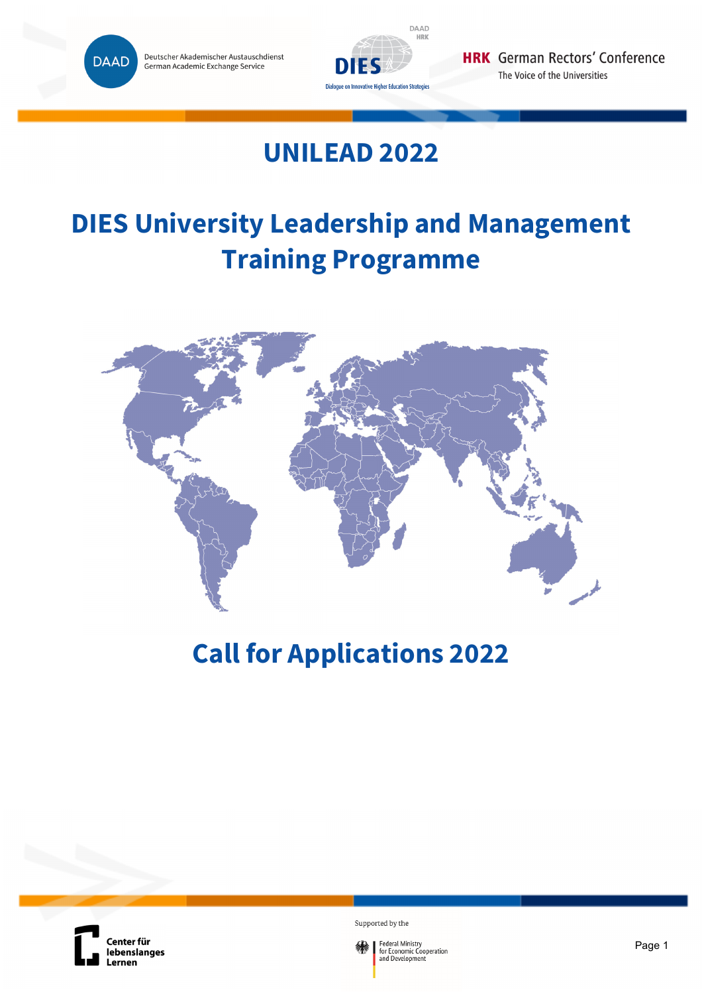



# **UNILEAD 2022**

# **DIES University Leadership and Management Training Programme**



# **Call for Applications 2022**



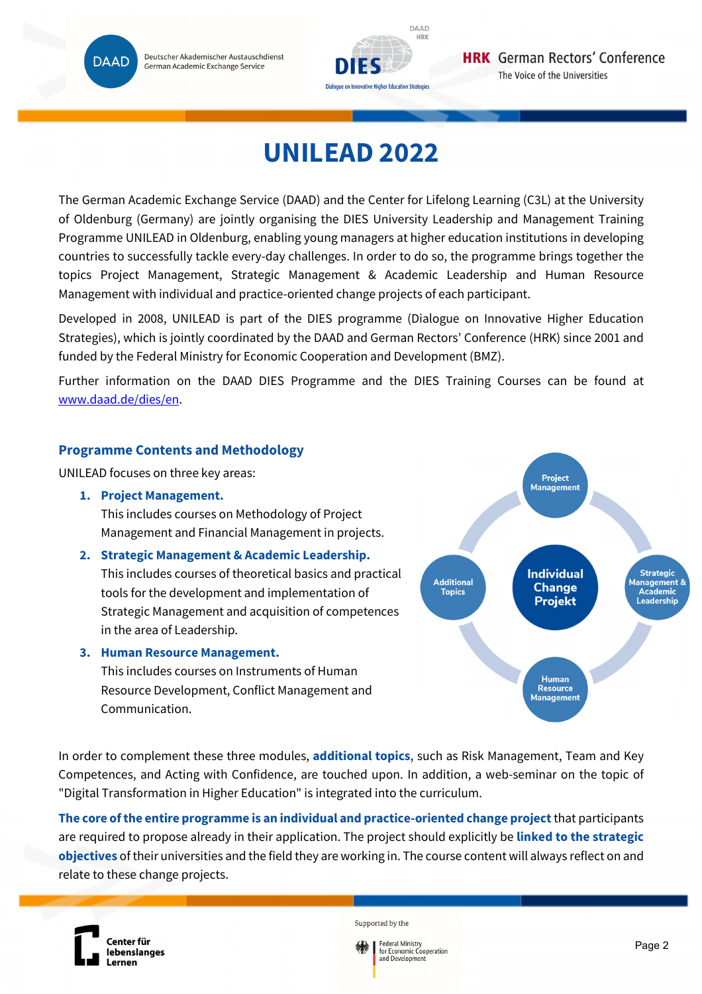Deutscher Akademischer Austauschdienst German Academic Exchange Service

**DAAD** 



# **UNILEAD 2022**

The German Academic Exchange Service (DAAD) and the Center for Lifelong Learning (C3L) at the University of Oldenburg (Germany) are jointly organising the DIES University Leadership and Management Training Programme UNILEAD in Oldenburg, enabling young managers at higher education institutions in developing countries to successfully tackle every-day challenges. In order to do so, the programme brings together the topics Project Management, Strategic Management & Academic Leadership and Human Resource Management with individual and practice-oriented change projects of each participant.

Developed in 2008, UNILEAD is part of the DIES programme (Dialogue on Innovative Higher Education Strategies), which is jointly coordinated by the DAAD and German Rectors' Conference (HRK) since 2001 and funded by the Federal Ministry for Economic Cooperation and Development (BMZ).

Further information on the DAAD DIES Programme and the DIES Training Courses can be found at www.daad.de/dies/en.

# **Programme Contents and Methodology**

UNILEAD focuses on three key areas:

**1. Project Management.**

This includes courses on Methodology of Project Management and Financial Management in projects.

# **2. Strategic Management & Academic Leadership.**

This includes courses of theoretical basics and practical tools for the development and implementation of Strategic Management and acquisition of competences in the area of Leadership.

### **3. Human Resource Management.**

This includes courses on Instruments of Human Resource Development, Conflict Management and Communication.



In order to complement these three modules, **additional topics**, such as Risk Management, Team and Key Competences, and Acting with Confidence, are touched upon. In addition, a web-seminar on the topic of "Digital Transformation in Higher Education" is integrated into the curriculum.

**The core of the entire programme is an individual and practice-oriented change project** that participants are required to propose already in their application. The project should explicitly be **linked to the strategic objectives** of their universities and the field they are working in. The course content will always reflect on and relate to these change projects.



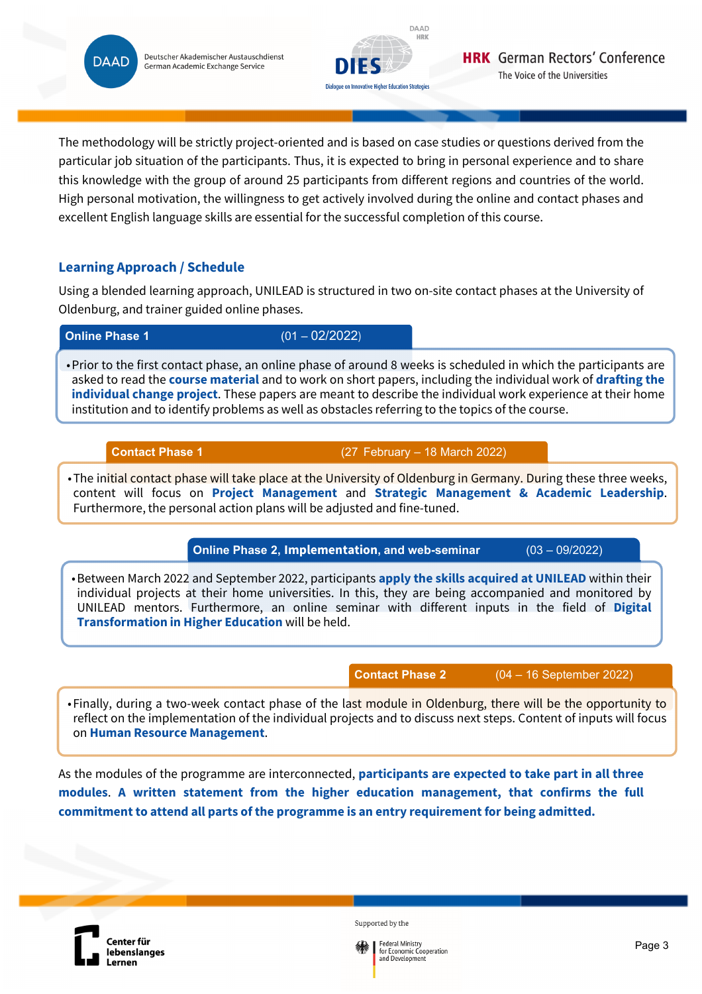Deutscher Akademischer Austauschdienst **DAAD** German Academic Exchange Service



The methodology will be strictly project-oriented and is based on case studies or questions derived from the particular job situation of the participants. Thus, it is expected to bring in personal experience and to share this knowledge with the group of around 25 participants from different regions and countries of the world. High personal motivation, the willingness to get actively involved during the online and contact phases and excellent English language skills are essential for the successful completion of this course.

# **Learning Approach / Schedule**

Using a blended learning approach, UNILEAD is structured in two on-site contact phases at the University of Oldenburg, and trainer guided online phases.

**Online Phase 1** (01 – 02/2022)

• Prior to the first contact phase, an online phase of around 8 weeks is scheduled in which the participants are asked to read the **course material** and to work on short papers, including the individual work of **drafting the individual change project**. These papers are meant to describe the individual work experience at their home institution and to identify problems as well as obstacles referring to the topics of the course.

**Contact Phase 1** (27 February – 18 March 2022)

• The initial contact phase will take place at the University of Oldenburg in Germany. During these three weeks, content will focus on **Project Management** and **Strategic Management & Academic Leadership**. Furthermore, the personal action plans will be adjusted and fine-tuned.

**Online Phase 2, Implementation, and web-seminar** (03 – 09/2022)

• Between March 2022 and September 2022, participants **apply the skills acquired at UNILEAD** within their individual projects at their home universities. In this, they are being accompanied and monitored by UNILEAD mentors. Furthermore, an online seminar with different inputs in the field of **Digital Transformation in Higher Education** will be held.

**Contact Phase 2** (04 – 16 September 2022)

• Finally, during a two-week contact phase of the last module in Oldenburg, there will be the opportunity to reflect on the implementation of the individual projects and to discuss next steps. Content of inputs will focus on **Human Resource Management**.

As the modules of the programme are interconnected, **participants are expected to take part in all three modules**. **A written statement from the higher education management, that confirms the full commitment to attend all parts of the programme is an entry requirement for being admitted.**



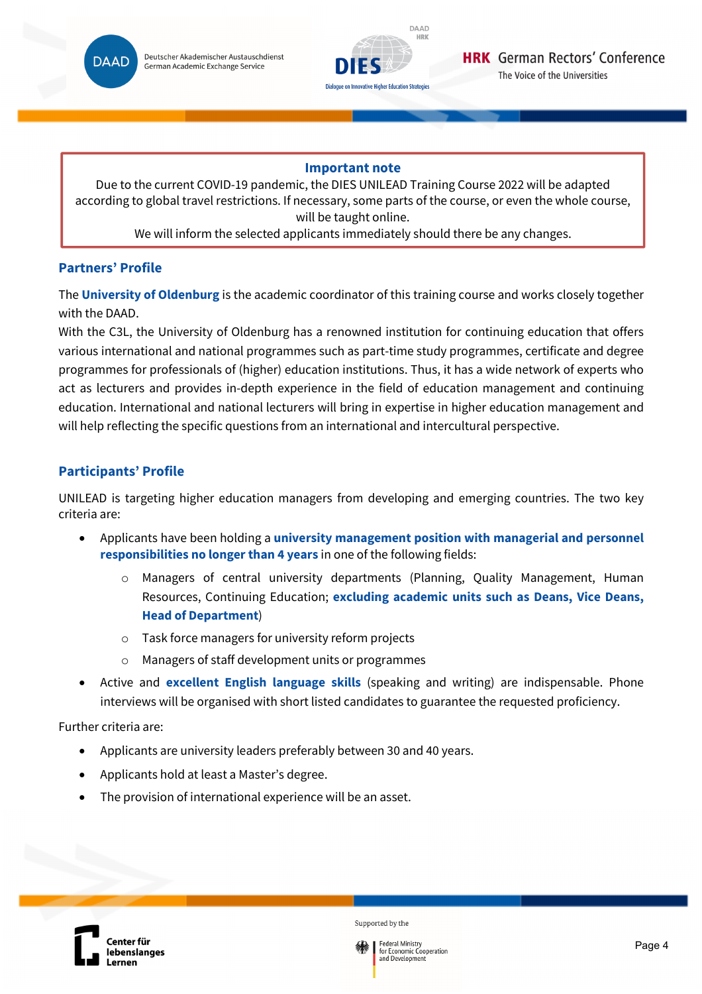



### **Important note**

Due to the current COVID-19 pandemic, the DIES UNILEAD Training Course 2022 will be adapted according to global travel restrictions. If necessary, some parts of the course, or even the whole course, will be taught online.

We will inform the selected applicants immediately should there be any changes.

# **Partners' Profile**

The **University of Oldenburg** is the academic coordinator of this training course and works closely together with the DAAD.

With the C3L, the University of Oldenburg has a renowned institution for continuing education that offers various international and national programmes such as part-time study programmes, certificate and degree programmes for professionals of (higher) education institutions. Thus, it has a wide network of experts who act as lecturers and provides in-depth experience in the field of education management and continuing education. International and national lecturers will bring in expertise in higher education management and will help reflecting the specific questions from an international and intercultural perspective.

# **Participants' Profile**

UNILEAD is targeting higher education managers from developing and emerging countries. The two key criteria are:

- Applicants have been holding a **university management position with managerial and personnel responsibilities no longer than 4 years** in one of the following fields:
	- o Managers of central university departments (Planning, Quality Management, Human Resources, Continuing Education; **excluding academic units such as Deans, Vice Deans, Head of Department**)
	- o Task force managers for university reform projects
	- Managers of staff development units or programmes
- Active and **excellent English language skills** (speaking and writing) are indispensable. Phone interviews will be organised with short listed candidates to guarantee the requested proficiency.

Further criteria are:

- Applicants are university leaders preferably between 30 and 40 years.
- Applicants hold at least a Master's degree.
- The provision of international experience will be an asset.



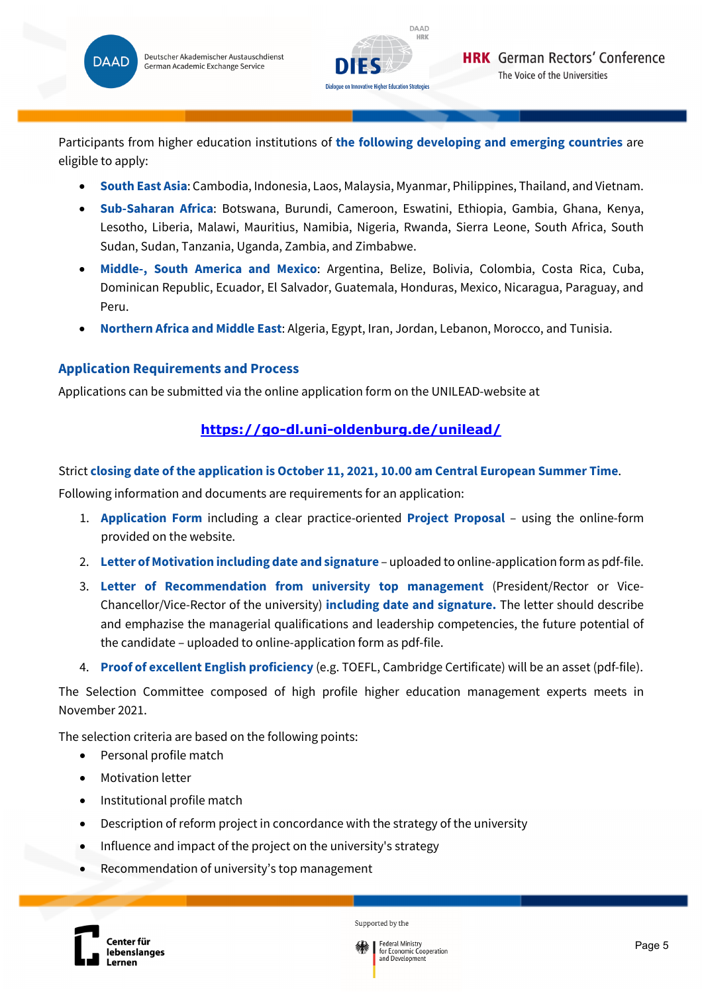



Participants from higher education institutions of **the following developing and emerging countries** are eligible to apply:

- **South East Asia**: Cambodia, Indonesia, Laos, Malaysia, Myanmar, Philippines, Thailand, and Vietnam.
- **Sub-Saharan Africa**: Botswana, Burundi, Cameroon, Eswatini, Ethiopia, Gambia, Ghana, Kenya, Lesotho, Liberia, Malawi, Mauritius, Namibia, Nigeria, Rwanda, Sierra Leone, South Africa, South Sudan, Sudan, Tanzania, Uganda, Zambia, and Zimbabwe.
- **Middle-, South America and Mexico**: Argentina, Belize, Bolivia, Colombia, Costa Rica, Cuba, Dominican Republic, Ecuador, El Salvador, Guatemala, Honduras, Mexico, Nicaragua, Paraguay, and Peru.
- **Northern Africa and Middle East**: Algeria, Egypt, Iran, Jordan, Lebanon, Morocco, and Tunisia.

# **Application Requirements and Process**

Applications can be submitted via the online application form on the UNILEAD-website at

# **https://go-dl.uni-oldenburg.de/unilead/**

# Strict **closing date of the application is October 11, 2021, 10.00 am Central European Summer Time**.

Following information and documents are requirements for an application:

- 1. **Application Form** including a clear practice-oriented **Project Proposal** using the online-form provided on the website.
- 2. **Letter of Motivation including date and signature** uploaded to online-application form as pdf-file.
- 3. **Letter of Recommendation from university top management** (President/Rector or Vice-Chancellor/Vice-Rector of the university) **including date and signature.** The letter should describe and emphazise the managerial qualifications and leadership competencies, the future potential of the candidate – uploaded to online-application form as pdf-file.
- 4. **Proof of excellent English proficiency** (e.g. TOEFL, Cambridge Certificate) will be an asset (pdf-file).

The Selection Committee composed of high profile higher education management experts meets in November 2021.

The selection criteria are based on the following points:

- Personal profile match
- Motivation letter
- Institutional profile match
- Description of reform project in concordance with the strategy of the university
- Influence and impact of the project on the university's strategy
- Recommendation of university's top management



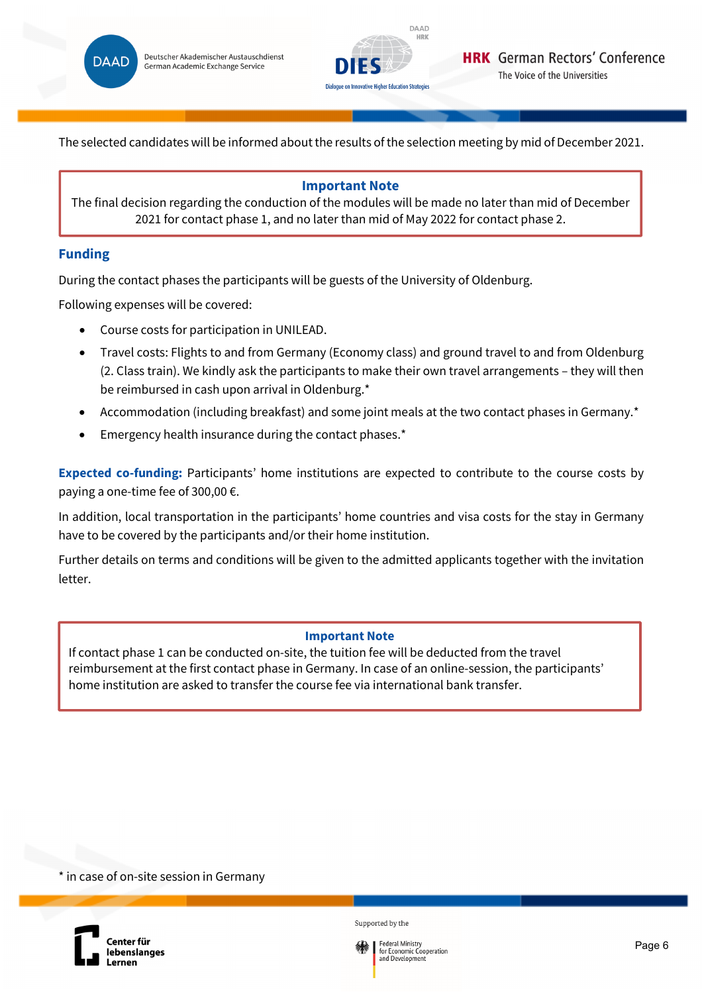



The selected candidates will be informed about the results of the selection meeting by mid of December 2021.

## **Important Note**

The final decision regarding the conduction of the modules will be made no later than mid of December 2021 for contact phase 1, and no later than mid of May 2022 for contact phase 2.

# **Funding**

During the contact phases the participants will be guests of the University of Oldenburg.

Following expenses will be covered:

- Course costs for participation in UNILEAD.
- Travel costs: Flights to and from Germany (Economy class) and ground travel to and from Oldenburg (2. Class train). We kindly ask the participants to make their own travel arrangements – they will then be reimbursed in cash upon arrival in Oldenburg.\*
- Accommodation (including breakfast) and some joint meals at the two contact phases in Germany.\*
- Emergency health insurance during the contact phases.\*

**Expected co-funding:** Participants' home institutions are expected to contribute to the course costs by paying a one-time fee of 300,00 €.

In addition, local transportation in the participants' home countries and visa costs for the stay in Germany have to be covered by the participants and/or their home institution.

Further details on terms and conditions will be given to the admitted applicants together with the invitation letter.

### **Important Note**

If contact phase 1 can be conducted on-site, the tuition fee will be deducted from the travel reimbursement at the first contact phase in Germany. In case of an online-session, the participants' home institution are asked to transfer the course fee via international bank transfer.

\* in case of on-site session in Germany